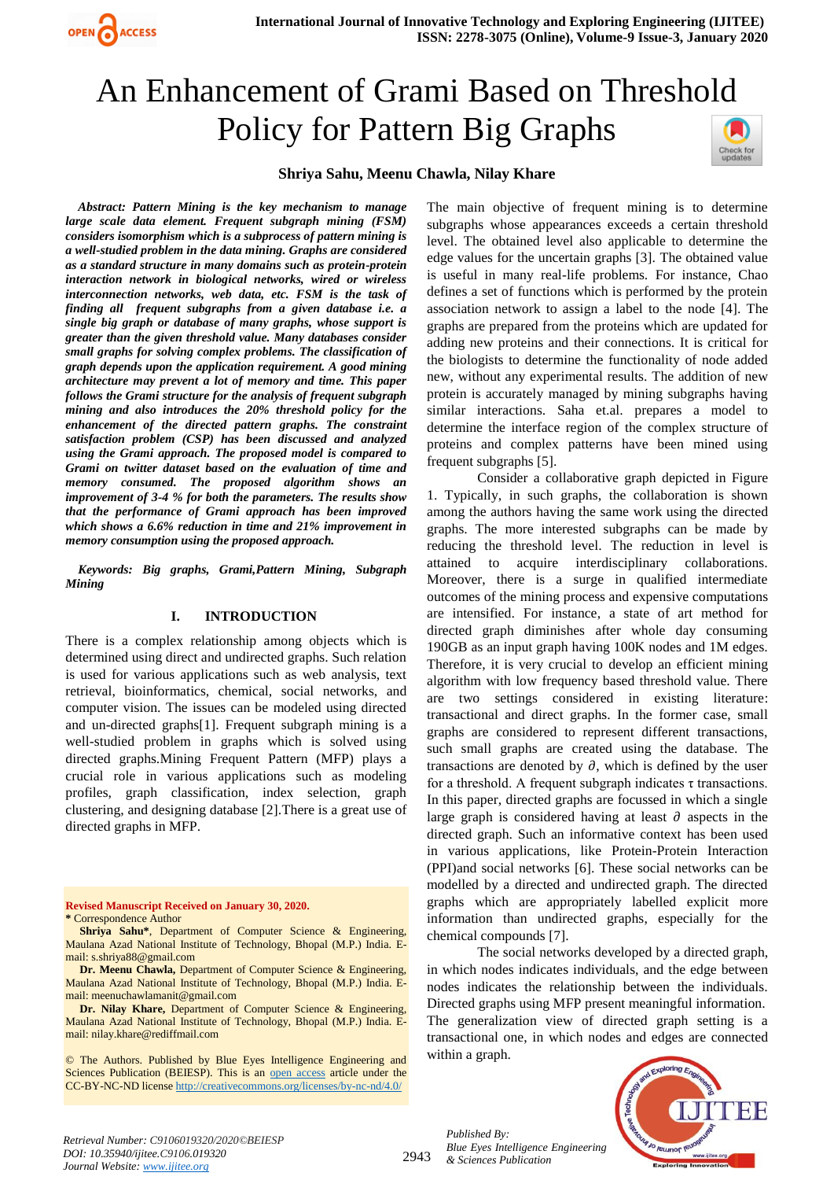# An Enhancement of Grami Based on Threshold Policy for Pattern Big Graphs



#### **Shriya Sahu, Meenu Chawla, Nilay Khare**

*Abstract: Pattern Mining is the key mechanism to manage large scale data element. Frequent subgraph mining (FSM) considers isomorphism which is a subprocess of pattern mining is a well-studied problem in the data mining. Graphs are considered as a standard structure in many domains such as protein-protein interaction network in biological networks, wired or wireless interconnection networks, web data, etc. FSM is the task of finding all frequent subgraphs from a given database i.e. a single big graph or database of many graphs, whose support is greater than the given threshold value. Many databases consider small graphs for solving complex problems. The classification of graph depends upon the application requirement. A good mining architecture may prevent a lot of memory and time. This paper follows the Grami structure for the analysis of frequent subgraph mining and also introduces the 20% threshold policy for the enhancement of the directed pattern graphs. The constraint satisfaction problem (CSP) has been discussed and analyzed using the Grami approach. The proposed model is compared to Grami on twitter dataset based on the evaluation of time and memory consumed. The proposed algorithm shows an improvement of 3-4 % for both the parameters. The results show that the performance of Grami approach has been improved which shows a 6.6% reduction in time and 21% improvement in memory consumption using the proposed approach.* 

**OPEN ACCESS** 

*Keywords: Big graphs, Grami,Pattern Mining, Subgraph Mining*

#### **I. INTRODUCTION**

There is a complex relationship among objects which is determined using direct and undirected graphs. Such relation is used for various applications such as web analysis, text retrieval, bioinformatics, chemical, social networks, and computer vision. The issues can be modeled using directed and un-directed graphs[1]. Frequent subgraph mining is a well-studied problem in graphs which is solved using directed graphs.Mining Frequent Pattern (MFP) plays a crucial role in various applications such as modeling profiles, graph classification, index selection, graph clustering, and designing database [2].There is a great use of directed graphs in MFP.

**Revised Manuscript Received on January 30, 2020. \*** Correspondence Author

**Shriya Sahu\***, Department of Computer Science & Engineering, Maulana Azad National Institute of Technology, Bhopal (M.P.) India. Email[: s.shriya88@gmail.com](mailto:s.shriya88@gmail.com)

**Dr. Meenu Chawla,** Department of Computer Science & Engineering, Maulana Azad National Institute of Technology, Bhopal (M.P.) India. Email[: meenuchawlamanit@gmail.com](mailto:meenuchawlamanit@gmail.com)

**Dr. Nilay Khare,** Department of Computer Science & Engineering, Maulana Azad National Institute of Technology, Bhopal (M.P.) India. Email[: nilay.khare@rediffmail.com](mailto:nilay.khare@rediffmail.com)

© The Authors. Published by Blue Eyes Intelligence Engineering and Sciences Publication (BEIESP). This is an [open access](https://www.openaccess.nl/en/open-publications) article under the CC-BY-NC-ND licens[e http://creativecommons.org/licenses/by-nc-nd/4.0/](http://creativecommons.org/licenses/by-nc-nd/4.0/)

The main objective of frequent mining is to determine subgraphs whose appearances exceeds a certain threshold level. The obtained level also applicable to determine the edge values for the uncertain graphs [3]. The obtained value is useful in many real-life problems. For instance, Chao defines a set of functions which is performed by the protein association network to assign a label to the node [4]. The graphs are prepared from the proteins which are updated for adding new proteins and their connections. It is critical for the biologists to determine the functionality of node added new, without any experimental results. The addition of new protein is accurately managed by mining subgraphs having similar interactions. Saha et.al. prepares a model to determine the interface region of the complex structure of proteins and complex patterns have been mined using frequent subgraphs [5].

Consider a collaborative graph depicted in Figure 1. Typically, in such graphs, the collaboration is shown among the authors having the same work using the directed graphs. The more interested subgraphs can be made by reducing the threshold level. The reduction in level is attained to acquire interdisciplinary collaborations. Moreover, there is a surge in qualified intermediate outcomes of the mining process and expensive computations are intensified. For instance, a state of art method for directed graph diminishes after whole day consuming 190GB as an input graph having 100K nodes and 1M edges. Therefore, it is very crucial to develop an efficient mining algorithm with low frequency based threshold value. There are two settings considered in existing literature: transactional and direct graphs. In the former case, small graphs are considered to represent different transactions, such small graphs are created using the database. The transactions are denoted by  $\partial$ , which is defined by the user for a threshold. A frequent subgraph indicates τ transactions. In this paper, directed graphs are focussed in which a single large graph is considered having at least  $\partial$  aspects in the directed graph. Such an informative context has been used in various applications, like Protein-Protein Interaction (PPI)and social networks [6]. These social networks can be modelled by a directed and undirected graph. The directed graphs which are appropriately labelled explicit more information than undirected graphs, especially for the chemical compounds [7].

The social networks developed by a directed graph, in which nodes indicates individuals, and the edge between nodes indicates the relationship between the individuals. Directed graphs using MFP present meaningful information. The generalization view of directed graph setting is a transactional one, in which nodes and edges are connected within a graph.



*Published By:*

*& Sciences Publication* 

*Blue Eyes Intelligence Engineering*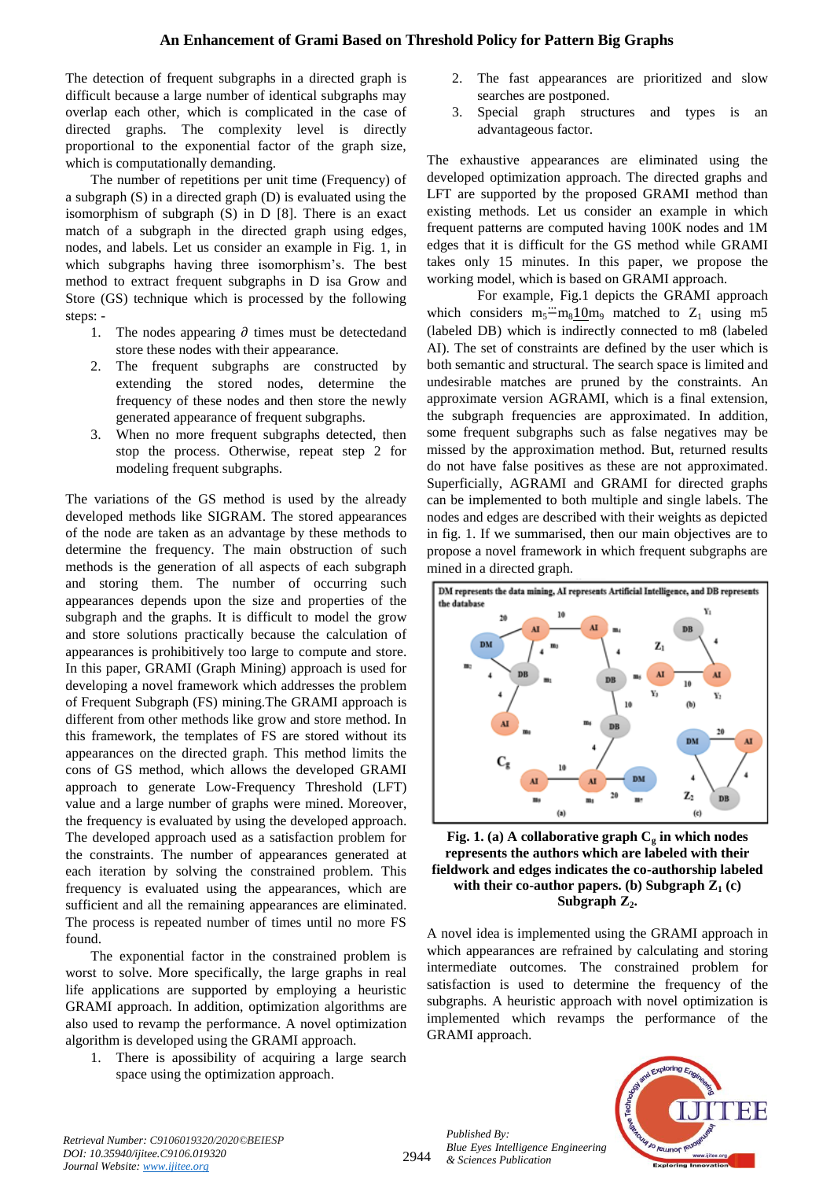## **An Enhancement of Grami Based on Threshold Policy for Pattern Big Graphs**

The detection of frequent subgraphs in a directed graph is difficult because a large number of identical subgraphs may overlap each other, which is complicated in the case of directed graphs. The complexity level is directly proportional to the exponential factor of the graph size, which is computationally demanding.

The number of repetitions per unit time (Frequency) of a subgraph (S) in a directed graph (D) is evaluated using the isomorphism of subgraph (S) in D [8]. There is an exact match of a subgraph in the directed graph using edges, nodes, and labels. Let us consider an example in Fig. 1, in which subgraphs having three isomorphism's. The best method to extract frequent subgraphs in D isa Grow and Store (GS) technique which is processed by the following steps: -

- 1. The nodes appearing  $\partial$  times must be detected and store these nodes with their appearance.
- 2. The frequent subgraphs are constructed by extending the stored nodes, determine the frequency of these nodes and then store the newly generated appearance of frequent subgraphs.
- 3. When no more frequent subgraphs detected, then stop the process. Otherwise, repeat step 2 for modeling frequent subgraphs.

The variations of the GS method is used by the already developed methods like SIGRAM. The stored appearances of the node are taken as an advantage by these methods to determine the frequency. The main obstruction of such methods is the generation of all aspects of each subgraph and storing them. The number of occurring such appearances depends upon the size and properties of the subgraph and the graphs. It is difficult to model the grow and store solutions practically because the calculation of appearances is prohibitively too large to compute and store. In this paper, GRAMI (Graph Mining) approach is used for developing a novel framework which addresses the problem of Frequent Subgraph (FS) mining.The GRAMI approach is different from other methods like grow and store method. In this framework, the templates of FS are stored without its appearances on the directed graph. This method limits the cons of GS method, which allows the developed GRAMI approach to generate Low-Frequency Threshold (LFT) value and a large number of graphs were mined. Moreover, the frequency is evaluated by using the developed approach. The developed approach used as a satisfaction problem for the constraints. The number of appearances generated at each iteration by solving the constrained problem. This frequency is evaluated using the appearances, which are sufficient and all the remaining appearances are eliminated. The process is repeated number of times until no more FS found.

The exponential factor in the constrained problem is worst to solve. More specifically, the large graphs in real life applications are supported by employing a heuristic GRAMI approach. In addition, optimization algorithms are also used to revamp the performance. A novel optimization algorithm is developed using the GRAMI approach.

1. There is apossibility of acquiring a large search space using the optimization approach.

- The fast appearances are prioritized and slow searches are postponed.
- 3. Special graph structures and types is an advantageous factor.

The exhaustive appearances are eliminated using the developed optimization approach. The directed graphs and LFT are supported by the proposed GRAMI method than existing methods. Let us consider an example in which frequent patterns are computed having 100K nodes and 1M edges that it is difficult for the GS method while GRAMI takes only 15 minutes. In this paper, we propose the working model, which is based on GRAMI approach.

For example, Fig.1 depicts the GRAMI approach which considers  $m_5 \ddot{-} m_8 10 m_9$  matched to  $Z_1$  using m5 (labeled DB) which is indirectly connected to m8 (labeled AI). The set of constraints are defined by the user which is both semantic and structural. The search space is limited and undesirable matches are pruned by the constraints. An approximate version AGRAMI, which is a final extension, the subgraph frequencies are approximated. In addition, some frequent subgraphs such as false negatives may be missed by the approximation method. But, returned results do not have false positives as these are not approximated. Superficially, AGRAMI and GRAMI for directed graphs can be implemented to both multiple and single labels. The nodes and edges are described with their weights as depicted in fig. 1. If we summarised, then our main objectives are to propose a novel framework in which frequent subgraphs are mined in a directed graph.



**Fig.** 1. (a) A collaborative graph  $C_q$  in which nodes **represents the authors which are labeled with their fieldwork and edges indicates the co-authorship labeled**  with their co-author papers. (b) Subgraph  $Z_1$  (c) **Subgraph Z2.**

A novel idea is implemented using the GRAMI approach in which appearances are refrained by calculating and storing intermediate outcomes. The constrained problem for satisfaction is used to determine the frequency of the subgraphs. A heuristic approach with novel optimization is implemented which revamps the performance of the GRAMI approach.



*Retrieval Number: C9106019320/2020©BEIESP DOI: 10.35940/ijitee.C9106.019320 Journal Website: www.ijitee.org*

2944

*Published By: Blue Eyes Intelligence Engineering & Sciences Publication*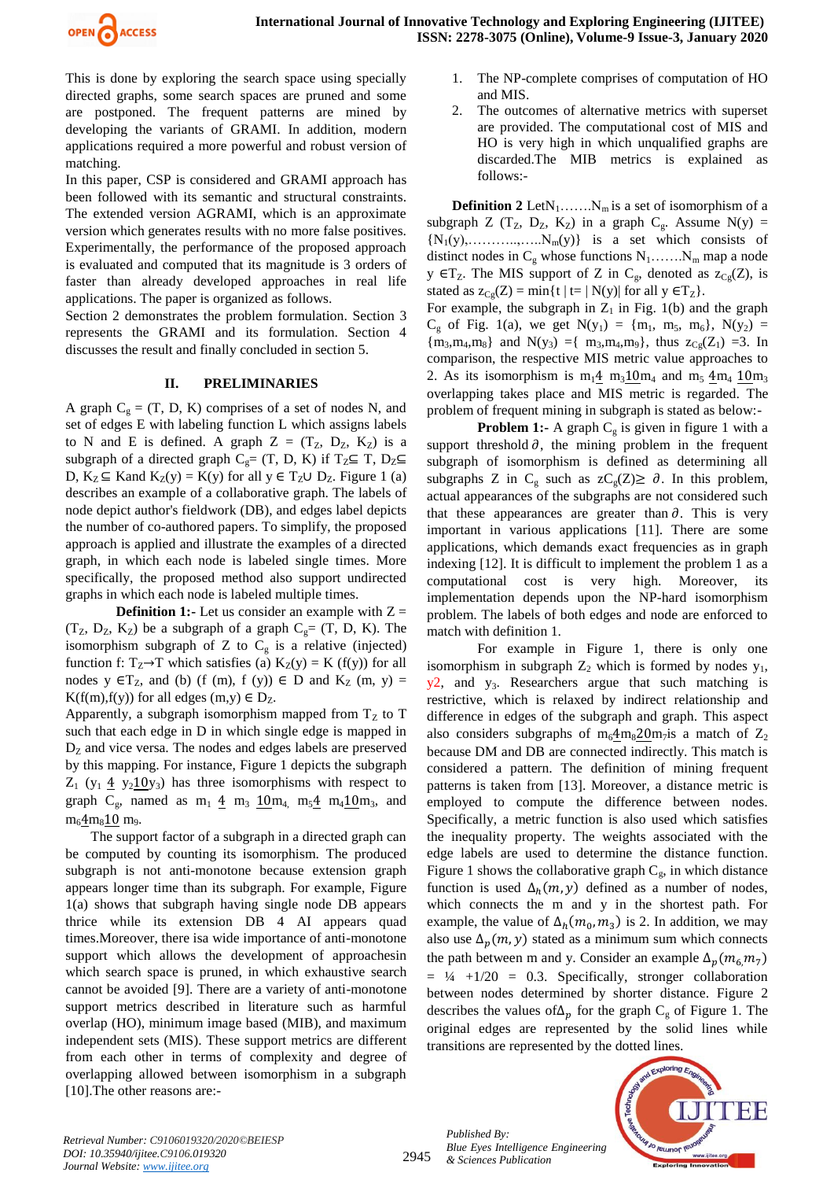

This is done by exploring the search space using specially directed graphs, some search spaces are pruned and some are postponed. The frequent patterns are mined by developing the variants of GRAMI. In addition, modern applications required a more powerful and robust version of matching.

In this paper, CSP is considered and GRAMI approach has been followed with its semantic and structural constraints. The extended version AGRAMI, which is an approximate version which generates results with no more false positives. Experimentally, the performance of the proposed approach is evaluated and computed that its magnitude is 3 orders of faster than already developed approaches in real life applications. The paper is organized as follows.

Section 2 demonstrates the problem formulation. Section 3 represents the GRAMI and its formulation. Section 4 discusses the result and finally concluded in section 5.

## **II. PRELIMINARIES**

A graph  $C<sub>g</sub> = (T, D, K)$  comprises of a set of nodes N, and set of edges E with labeling function L which assigns labels to N and E is defined. A graph  $Z = (T_Z, D_Z, K_Z)$  is a subgraph of a directed graph C<sub>g</sub>= (T, D, K) if T<sub>Z</sub>⊆ T, D<sub>Z</sub>⊆ D,  $K_Z \subseteq$  Kand  $K_Z(y) = K(y)$  for all  $y \in T_Z \cup D_Z$ . Figure 1 (a) describes an example of a collaborative graph. The labels of node depict author's fieldwork (DB), and edges label depicts the number of co-authored papers. To simplify, the proposed approach is applied and illustrate the examples of a directed graph, in which each node is labeled single times. More specifically, the proposed method also support undirected graphs in which each node is labeled multiple times.

**Definition 1:-** Let us consider an example with  $Z =$  $(T_Z, D_Z, K_Z)$  be a subgraph of a graph  $C_g = (T, D, K)$ . The isomorphism subgraph of Z to  $C_g$  is a relative (injected) function f:  $T_Z \rightarrow T$  which satisfies (a)  $K_Z(y) = K(f(y))$  for all nodes y  $\in T_z$ , and (b) (f (m), f (y))  $\in$  D and K<sub>Z</sub> (m, y) = K(f(m),f(y)) for all edges  $(m,y) \in D_Z$ .

Apparently, a subgraph isomorphism mapped from  $T<sub>Z</sub>$  to T such that each edge in D in which single edge is mapped in  $D<sub>Z</sub>$  and vice versa. The nodes and edges labels are preserved by this mapping. For instance, Figure 1 depicts the subgraph  $Z_1$  (y<sub>1</sub>  $\underline{4}$  y<sub>2</sub>10y<sub>3</sub>) has three isomorphisms with respect to graph  $C_g$ , named as  $m_1 \underline{4}$   $m_3 \underline{10}m_4$ ,  $m_5 \underline{4}$   $m_4 \underline{10}m_3$ , and  $m_6 4 m_8 10 m_9.$ 

The support factor of a subgraph in a directed graph can be computed by counting its isomorphism. The produced subgraph is not anti-monotone because extension graph appears longer time than its subgraph. For example, Figure 1(a) shows that subgraph having single node DB appears thrice while its extension DB 4 AI appears quad times.Moreover, there isa wide importance of anti-monotone support which allows the development of approachesin which search space is pruned, in which exhaustive search cannot be avoided [9]. There are a variety of anti-monotone support metrics described in literature such as harmful overlap (HO), minimum image based (MIB), and maximum independent sets (MIS). These support metrics are different from each other in terms of complexity and degree of overlapping allowed between isomorphism in a subgraph [10].The other reasons are:-

- 1. The NP-complete comprises of computation of HO and MIS.
- 2. The outcomes of alternative metrics with superset are provided. The computational cost of MIS and HO is very high in which unqualified graphs are discarded.The MIB metrics is explained as follows:-

**Definition 2** Let $N_1$ ……. $N_m$  is a set of isomorphism of a subgraph Z ( $T_Z$ ,  $D_Z$ ,  $K_Z$ ) in a graph  $C_g$ . Assume N(y) =  ${N_1(y), \ldots, \ldots, \ldots, N_m(y)}$  is a set which consists of distinct nodes in  $C_g$  whose functions  $N_1$ ....... $N_m$  map a node y  $\in$  T<sub>Z</sub>. The MIS support of Z in C<sub>g</sub>, denoted as  $z_{Cg}(Z)$ , is stated as  $z_{Cg}(Z) = min\{t \mid t=|N(y)| \text{ for all } y \in T_Z\}.$ 

For example, the subgraph in  $Z_1$  in Fig. 1(b) and the graph  $C_g$  of Fig. 1(a), we get  $N(y_1) = \{m_1, m_5, m_6\}$ ,  $N(y_2) =$  ${m_3, m_4, m_8}$  and  $N(y_3) = {m_3, m_4, m_9}$ , thus  $z_{Cg}(Z_1) = 3$ . In comparison, the respective MIS metric value approaches to 2. As its isomorphism is  $m_1 4 m_3 10 m_4$  and  $m_5 4 m_4 10 m_3$ overlapping takes place and MIS metric is regarded. The problem of frequent mining in subgraph is stated as below:-

**Problem 1:-** A graph  $C_g$  is given in figure 1 with a support threshold  $\partial$ , the mining problem in the frequent subgraph of isomorphism is defined as determining all subgraphs Z in C<sub>g</sub> such as  $zC_g(Z) \ge \partial$ . In this problem, actual appearances of the subgraphs are not considered such that these appearances are greater than  $\partial$ . This is very important in various applications [11]. There are some applications, which demands exact frequencies as in graph indexing [12]. It is difficult to implement the problem 1 as a computational cost is very high. Moreover, implementation depends upon the NP-hard isomorphism problem. The labels of both edges and node are enforced to match with definition 1.

For example in Figure 1, there is only one isomorphism in subgraph  $Z_2$  which is formed by nodes  $y_1$ ,  $y_2$ , and  $y_3$ . Researchers argue that such matching is restrictive, which is relaxed by indirect relationship and difference in edges of the subgraph and graph. This aspect also considers subgraphs of  $m_6 4 m_8 20 m_7$ is a match of  $Z_2$ because DM and DB are connected indirectly. This match is considered a pattern. The definition of mining frequent patterns is taken from [13]. Moreover, a distance metric is employed to compute the difference between nodes. Specifically, a metric function is also used which satisfies the inequality property. The weights associated with the edge labels are used to determine the distance function. Figure 1 shows the collaborative graph  $C_g$ , in which distance function is used  $\Delta_h(m, y)$  defined as a number of nodes, which connects the m and y in the shortest path. For example, the value of  $\Delta_h(m_0, m_3)$  is 2. In addition, we may also use  $\Delta_p(m, y)$  stated as a minimum sum which connects the path between m and y. Consider an example  $\Delta_n(m_6 m_7)$  $= \frac{1}{4} + \frac{1}{20} = 0.3$ . Specifically, stronger collaboration between nodes determined by shorter distance. Figure 2 describes the values of  $\Delta_n$  for the graph  $C_g$  of Figure 1. The original edges are represented by the solid lines while transitions are represented by the dotted lines.



'E E

2945

*Published By:*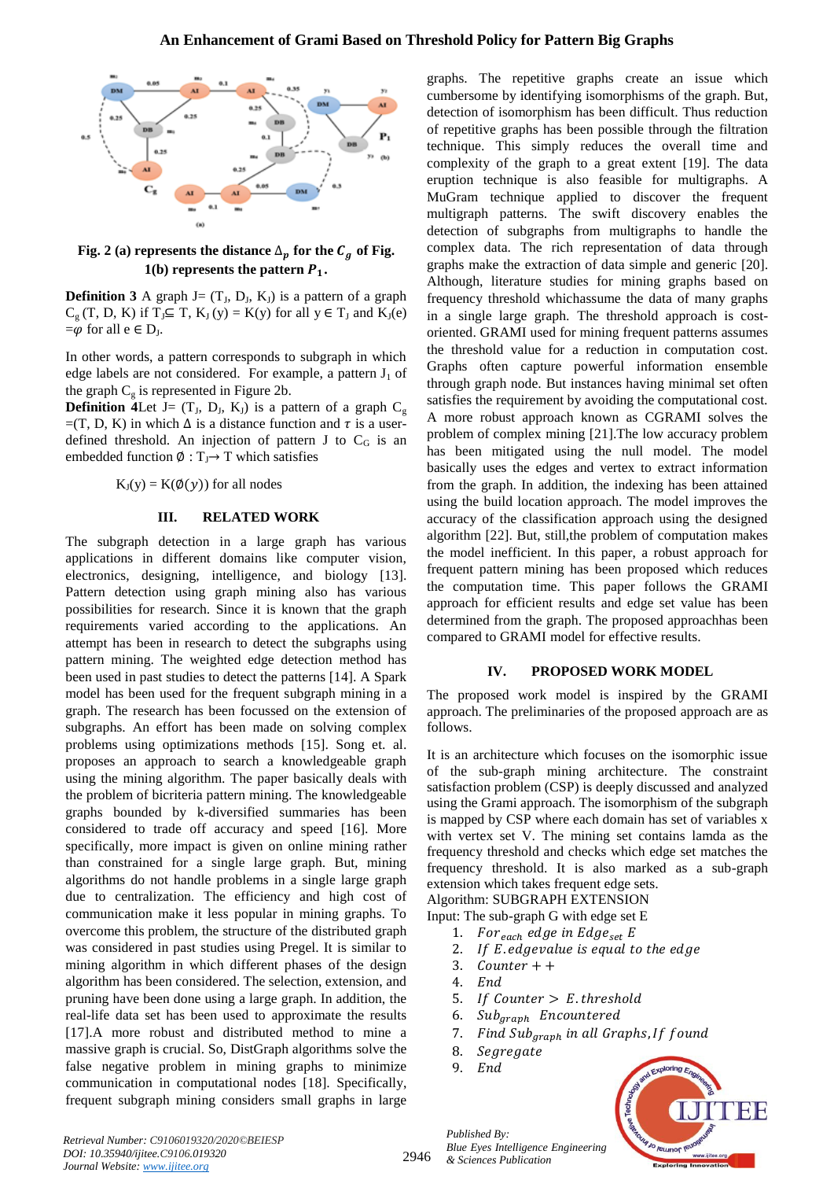

Fig. 2 (a) represents the distance  $\Delta_p$  for the  $C_q$  of Fig. **1(b) represents the pattern**  $P_1$ **.** 

**Definition 3** A graph  $J = (T_J, D_J, K_J)$  is a pattern of a graph  $C_g(T, D, K)$  if  $T_J \subseteq T$ ,  $K_J(y) = K(y)$  for all  $y \in T_J$  and  $K_J(e)$  $=\varphi$  for all  $e \in D_J$ .

In other words, a pattern corresponds to subgraph in which edge labels are not considered. For example, a pattern  $J_1$  of the graph  $C_g$  is represented in Figure 2b.

**Definition 4Let** J=  $(T_J, D_J, K_J)$  is a pattern of a graph  $C_g$  $=(T, D, K)$  in which  $\Delta$  is a distance function and  $\tau$  is a userdefined threshold. An injection of pattern J to  $C_G$  is an embedded function  $\emptyset : T_J \rightarrow T$  which satisfies

 $K_{I}(y) = K(\phi(y))$  for all nodes

#### **III. RELATED WORK**

The subgraph detection in a large graph has various applications in different domains like computer vision, electronics, designing, intelligence, and biology [13]. Pattern detection using graph mining also has various possibilities for research. Since it is known that the graph requirements varied according to the applications. An attempt has been in research to detect the subgraphs using pattern mining. The weighted edge detection method has been used in past studies to detect the patterns [14]. A Spark model has been used for the frequent subgraph mining in a graph. The research has been focussed on the extension of subgraphs. An effort has been made on solving complex problems using optimizations methods [15]. Song et. al. proposes an approach to search a knowledgeable graph using the mining algorithm. The paper basically deals with the problem of bicriteria pattern mining. The knowledgeable graphs bounded by k-diversified summaries has been considered to trade off accuracy and speed [16]. More specifically, more impact is given on online mining rather than constrained for a single large graph. But, mining algorithms do not handle problems in a single large graph due to centralization. The efficiency and high cost of communication make it less popular in mining graphs. To overcome this problem, the structure of the distributed graph was considered in past studies using Pregel. It is similar to mining algorithm in which different phases of the design algorithm has been considered. The selection, extension, and pruning have been done using a large graph. In addition, the real-life data set has been used to approximate the results [17].A more robust and distributed method to mine a massive graph is crucial. So, DistGraph algorithms solve the false negative problem in mining graphs to minimize communication in computational nodes [18]. Specifically, frequent subgraph mining considers small graphs in large graphs. The repetitive graphs create an issue which cumbersome by identifying isomorphisms of the graph. But, detection of isomorphism has been difficult. Thus reduction of repetitive graphs has been possible through the filtration technique. This simply reduces the overall time and complexity of the graph to a great extent [19]. The data eruption technique is also feasible for multigraphs. A MuGram technique applied to discover the frequent multigraph patterns. The swift discovery enables the detection of subgraphs from multigraphs to handle the complex data. The rich representation of data through graphs make the extraction of data simple and generic [20]. Although, literature studies for mining graphs based on frequency threshold whichassume the data of many graphs in a single large graph. The threshold approach is costoriented. GRAMI used for mining frequent patterns assumes the threshold value for a reduction in computation cost. Graphs often capture powerful information ensemble through graph node. But instances having minimal set often satisfies the requirement by avoiding the computational cost. A more robust approach known as CGRAMI solves the problem of complex mining [21].The low accuracy problem has been mitigated using the null model. The model basically uses the edges and vertex to extract information from the graph. In addition, the indexing has been attained using the build location approach. The model improves the accuracy of the classification approach using the designed algorithm [22]. But, still,the problem of computation makes the model inefficient. In this paper, a robust approach for frequent pattern mining has been proposed which reduces the computation time. This paper follows the GRAMI approach for efficient results and edge set value has been determined from the graph. The proposed approachhas been compared to GRAMI model for effective results.

#### **IV. PROPOSED WORK MODEL**

The proposed work model is inspired by the GRAMI approach. The preliminaries of the proposed approach are as follows.

It is an architecture which focuses on the isomorphic issue of the sub-graph mining architecture. The constraint satisfaction problem (CSP) is deeply discussed and analyzed using the Grami approach. The isomorphism of the subgraph is mapped by CSP where each domain has set of variables x with vertex set V. The mining set contains lamda as the frequency threshold and checks which edge set matches the frequency threshold. It is also marked as a sub-graph extension which takes frequent edge sets. Algorithm: SUBGRAPH EXTENSION

Input: The sub-graph G with edge set E

- 1. For  $_{each}$  edge in Edge<sub>set</sub> E
- 2. If E edgevalue is equal to the edge
- 3.  $Counter + +$
- 4.
- 5. If Counter  $> E$ . threshold
- 6. Sub<sub>graph</sub> Encountered
- 7. Find Sub<sub>araph</sub> in all Graphs, If found
- 8. Segregate
- 9.



*Retrieval Number: C9106019320/2020©BEIESP DOI: 10.35940/ijitee.C9106.019320 Journal Website: www.ijitee.org*

*Published By: Blue Eyes Intelligence Engineering & Sciences Publication*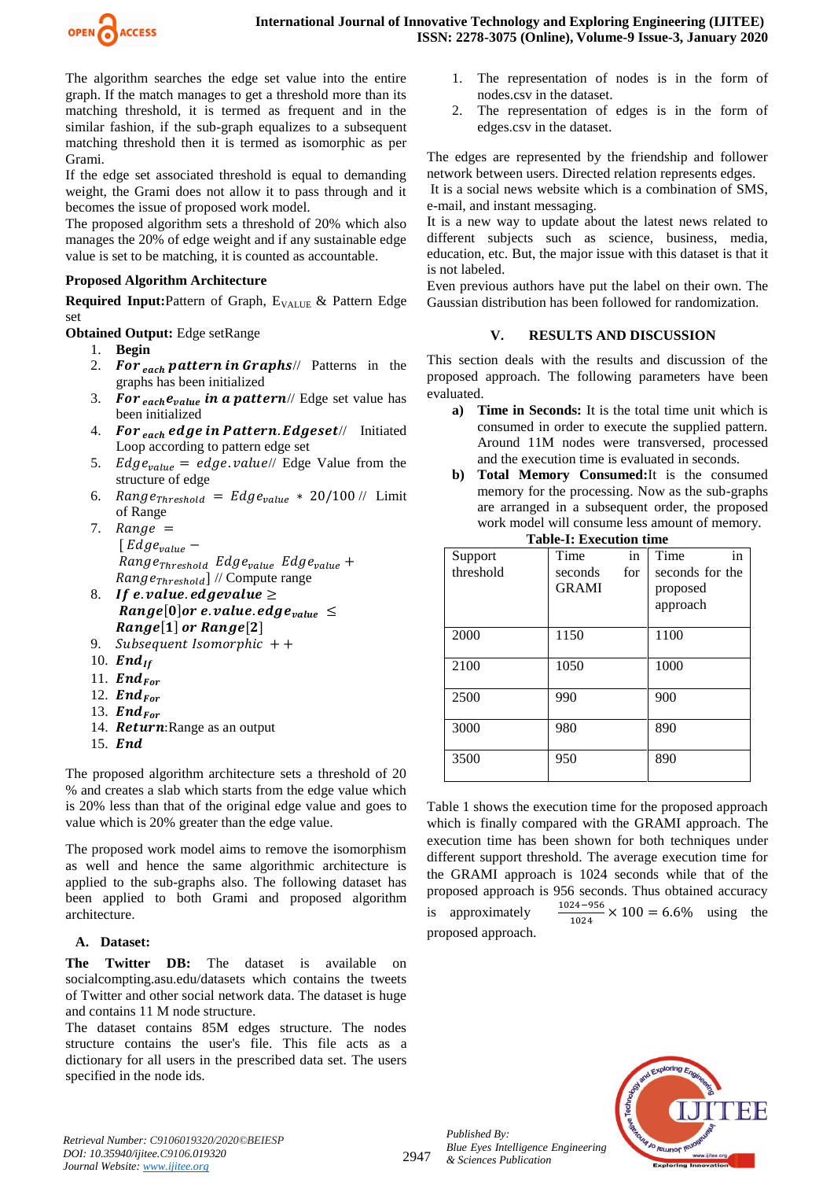

The algorithm searches the edge set value into the entire graph. If the match manages to get a threshold more than its matching threshold, it is termed as frequent and in the similar fashion, if the sub-graph equalizes to a subsequent matching threshold then it is termed as isomorphic as per Grami.

If the edge set associated threshold is equal to demanding weight, the Grami does not allow it to pass through and it becomes the issue of proposed work model.

The proposed algorithm sets a threshold of 20% which also manages the 20% of edge weight and if any sustainable edge value is set to be matching, it is counted as accountable.

## **Proposed Algorithm Architecture**

**Required Input:**Pattern of Graph, E<sub>VALUE</sub> & Pattern Edge set

**Obtained Output:** Edge setRange

- 1. **Begin**
- 2. For  $_{each}$  pattern in Graphs// Patterns in the graphs has been initialized
- 3. For  $_{each}e_{value}$  in a pattern// Edge set value has been initialized
- 4. For  $_{each}$  edge in Pattern. Edgeset// Initiated Loop according to pattern edge set
- 5. *Edge<sub>value</sub>* = *edge.value*// Edge Value from the structure of edge
- 6.  $Range_{Threshold} = Edge_{value} * 20/100$  // Limit of Range
- 7. Range =  $[Edge_{value}$  –  $Range_{Threshold}$   $Edge_{value}$   $Edge_{value}$  +  $Range_{Threshold}$ ] // Compute range
- 8. If e. value. edgevalue  $\geq$ Range[0] or e. value. edge<sub>value</sub>  $\leq$  $Range[1]$  or Range[2]
- 9. Subsequent Isomorphic + +
- 10.  $\boldsymbol{End}_{\boldsymbol{H}}$
- 11.  $\boldsymbol{End}_{\text{For}}$
- 12.  $\boldsymbol{End}_{\text{For}}$
- 13.  $\boldsymbol{End}_{\text{For}}$
- 14. Return: Range as an output
- 15. End

The proposed algorithm architecture sets a threshold of 20 % and creates a slab which starts from the edge value which is 20% less than that of the original edge value and goes to value which is 20% greater than the edge value.

The proposed work model aims to remove the isomorphism as well and hence the same algorithmic architecture is applied to the sub-graphs also. The following dataset has been applied to both Grami and proposed algorithm architecture.

## **A. Dataset:**

The Twitter DB: The dataset is available on socialcompting.asu.edu/datasets which contains the tweets of Twitter and other social network data. The dataset is huge and contains 11 M node structure.

The dataset contains 85M edges structure. The nodes structure contains the user's file. This file acts as a dictionary for all users in the prescribed data set. The users specified in the node ids.

- 1. The representation of nodes is in the form of nodes.csv in the dataset.
- 2. The representation of edges is in the form of edges.csv in the dataset.

The edges are represented by the friendship and follower network between users. Directed relation represents edges.

It is a social news website which is a combination of SMS, e-mail, and instant messaging.

It is a new way to update about the latest news related to different subjects such as science, business, media, education, etc. But, the major issue with this dataset is that it is not labeled.

Even previous authors have put the label on their own. The Gaussian distribution has been followed for randomization.

## **V. RESULTS AND DISCUSSION**

This section deals with the results and discussion of the proposed approach. The following parameters have been evaluated.

- **a) Time in Seconds:** It is the total time unit which is consumed in order to execute the supplied pattern. Around 11M nodes were transversed, processed and the execution time is evaluated in seconds.
- **b) Total Memory Consumed:**It is the consumed memory for the processing. Now as the sub-graphs are arranged in a subsequent order, the proposed work model will consume less amount of memory. **Table-I: Execution time**

|           | таріс-т. Ежесинон пінс |     |                 |
|-----------|------------------------|-----|-----------------|
| Support   | Time                   | in  | in<br>Time      |
| threshold | seconds                | for | seconds for the |
|           | <b>GRAMI</b>           |     | proposed        |
|           |                        |     | approach        |
| 2000      | 1150                   |     | 1100            |
| 2100      | 1050                   |     | 1000            |
| 2500      | 990                    |     | 900             |
| 3000      | 980                    |     | 890             |
| 3500      | 950                    |     | 890             |

Table 1 shows the execution time for the proposed approach which is finally compared with the GRAMI approach. The execution time has been shown for both techniques under different support threshold. The average execution time for the GRAMI approach is 1024 seconds while that of the proposed approach is 956 seconds. Thus obtained accuracy is approximately  $\frac{24-930}{1024} \times 100 = 6.6\%$  using the proposed approach.



*Published By:*

*& Sciences Publication* 

*Blue Eyes Intelligence Engineering*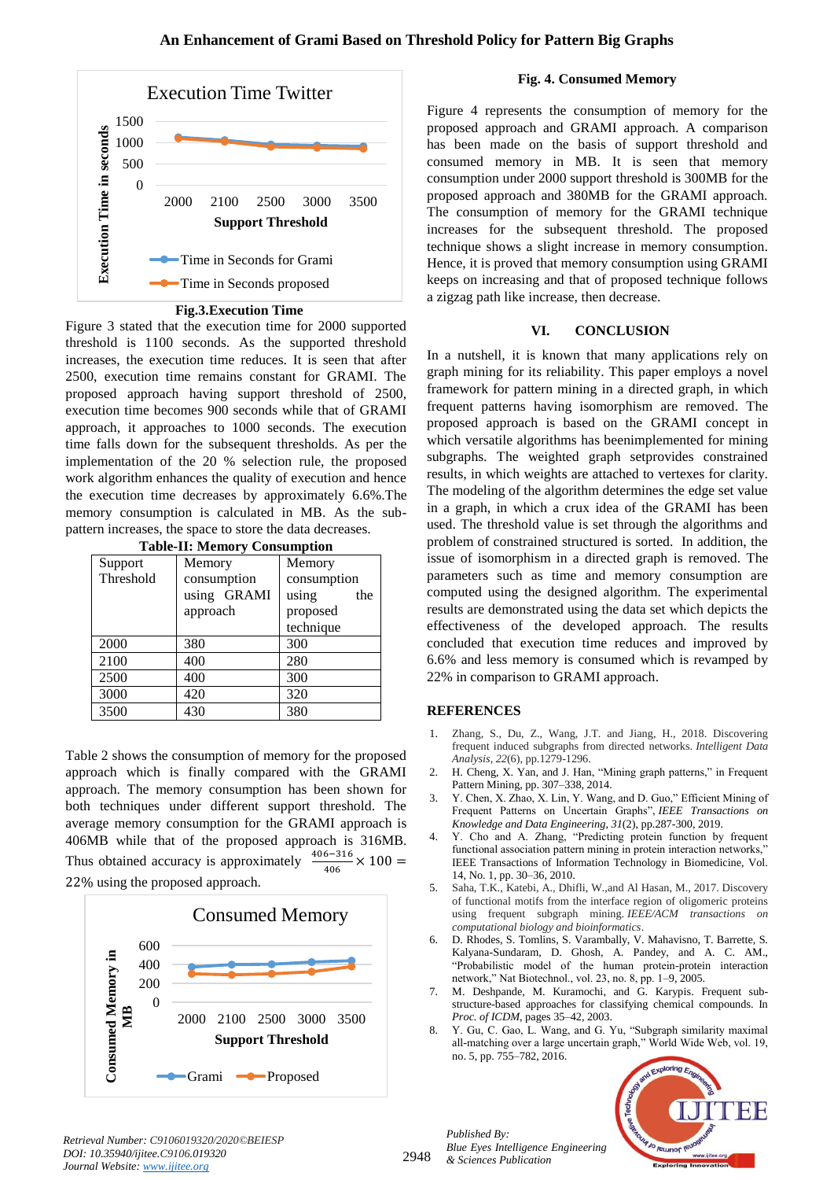

**Fig.3.Execution Time**

Figure 3 stated that the execution time for 2000 supported threshold is 1100 seconds. As the supported threshold increases, the execution time reduces. It is seen that after 2500, execution time remains constant for GRAMI. The proposed approach having support threshold of 2500, execution time becomes 900 seconds while that of GRAMI approach, it approaches to 1000 seconds. The execution time falls down for the subsequent thresholds. As per the implementation of the 20 % selection rule, the proposed work algorithm enhances the quality of execution and hence the execution time decreases by approximately 6.6%.The memory consumption is calculated in MB. As the subpattern increases, the space to store the data decreases.

|  | <b>Table-II: Memory Consumption</b> |
|--|-------------------------------------|
|--|-------------------------------------|

| $\sim$    |             |              |  |  |
|-----------|-------------|--------------|--|--|
| Support   | Memory      | Memory       |  |  |
| Threshold | consumption | consumption  |  |  |
|           | using GRAMI | using<br>the |  |  |
|           | approach    | proposed     |  |  |
|           |             | technique    |  |  |
| 2000      | 380         | 300          |  |  |
| 2100      | 400         | 280          |  |  |
| 2500      | 400         | 300          |  |  |
| 3000      | 420         | 320          |  |  |
| 3500      | 430         | 380          |  |  |

Table 2 shows the consumption of memory for the proposed approach which is finally compared with the GRAMI approach. The memory consumption has been shown for both techniques under different support threshold. The average memory consumption for the GRAMI approach is 406MB while that of the proposed approach is 316MB. Thus obtained accuracy is approximately  $\frac{6 - 316}{406}$  X 22% using the proposed approach.



#### **Fig. 4. Consumed Memory**

Figure 4 represents the consumption of memory for the proposed approach and GRAMI approach. A comparison has been made on the basis of support threshold and consumed memory in MB. It is seen that memory consumption under 2000 support threshold is 300MB for the proposed approach and 380MB for the GRAMI approach. The consumption of memory for the GRAMI technique increases for the subsequent threshold. The proposed technique shows a slight increase in memory consumption. Hence, it is proved that memory consumption using GRAMI keeps on increasing and that of proposed technique follows a zigzag path like increase, then decrease.

## **VI. CONCLUSION**

In a nutshell, it is known that many applications rely on graph mining for its reliability. This paper employs a novel framework for pattern mining in a directed graph, in which frequent patterns having isomorphism are removed. The proposed approach is based on the GRAMI concept in which versatile algorithms has beenimplemented for mining subgraphs. The weighted graph setprovides constrained results, in which weights are attached to vertexes for clarity. The modeling of the algorithm determines the edge set value in a graph, in which a crux idea of the GRAMI has been used. The threshold value is set through the algorithms and problem of constrained structured is sorted. In addition, the issue of isomorphism in a directed graph is removed. The parameters such as time and memory consumption are computed using the designed algorithm. The experimental results are demonstrated using the data set which depicts the effectiveness of the developed approach. The results concluded that execution time reduces and improved by 6.6% and less memory is consumed which is revamped by 22% in comparison to GRAMI approach.

## **REFERENCES**

- 1. Zhang, S., Du, Z., Wang, J.T. and Jiang, H., 2018. Discovering frequent induced subgraphs from directed networks. *Intelligent Data Analysis*, *22*(6), pp.1279-1296.
- 2. H. Cheng, X. Yan, and J. Han, "Mining graph patterns," in Frequent Pattern Mining, pp. 307–338, 2014.
- 3. Y. Chen, X. Zhao, X. Lin, Y. Wang, and D. Guo," Efficient Mining of Frequent Patterns on Uncertain Graphs", *IEEE Transactions on Knowledge and Data Engineering*, *31*(2), pp.287-300, 2019.
- 4. Y. Cho and A. Zhang, "Predicting protein function by frequent functional association pattern mining in protein interaction networks," IEEE Transactions of Information Technology in Biomedicine, Vol. 14, No. 1, pp. 30–36, 2010.
- 5. Saha, T.K., Katebi, A., Dhifli, W.,and Al Hasan, M., 2017. Discovery of functional motifs from the interface region of oligomeric proteins using frequent subgraph mining. *IEEE/ACM transactions on computational biology and bioinformatics*.
- 6. D. Rhodes, S. Tomlins, S. Varambally, V. Mahavisno, T. Barrette, S. Kalyana-Sundaram, D. Ghosh, A. Pandey, and A. C. AM., "Probabilistic model of the human protein-protein interaction network," Nat Biotechnol., vol. 23, no. 8, pp. 1–9, 2005.
- 7. M. Deshpande, M. Kuramochi, and G. Karypis. Frequent substructure-based approaches for classifying chemical compounds. In *Proc. of ICDM*, pages 35–42, 2003.
- 8. Y. Gu, C. Gao, L. Wang, and G. Yu, "Subgraph similarity maximal all-matching over a large uncertain graph," World Wide Web, vol. 19, no. 5, pp. 755–782, 2016.



*Retrieval Number: C9106019320/2020©BEIESP DOI: 10.35940/ijitee.C9106.019320 Journal Website: www.ijitee.org*

*Published By: Blue Eyes Intelligence Engineering & Sciences Publication*